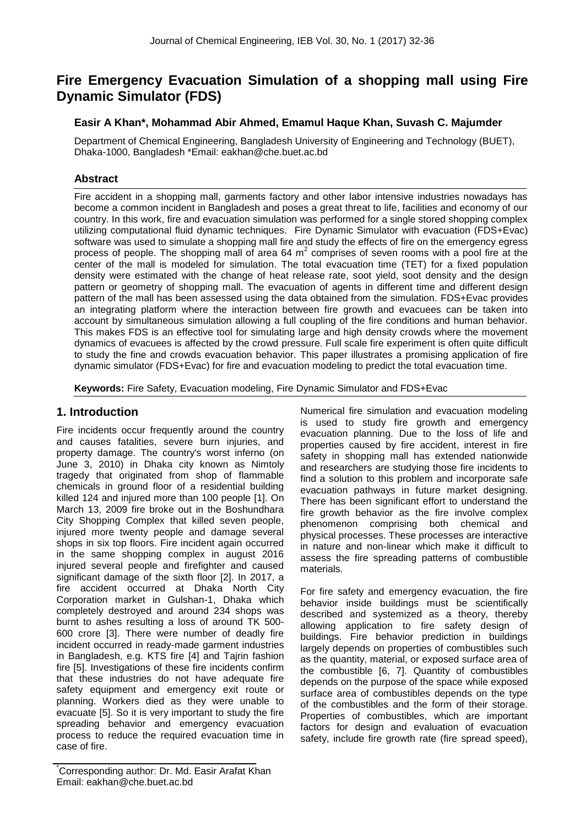# **Fire Emergency Evacuation Simulation of a shopping mall using Fire Dynamic Simulator (FDS)**

## **Easir A Khan\*, Mohammad Abir Ahmed, Emamul Haque Khan, Suvash C. Majumder**

Department of Chemical Engineering, Bangladesh University of Engineering and Technology (BUET), Dhaka-1000, Bangladesh \*Email: eakhan@che.buet.ac.bd

## **Abstract**

Fire accident in a shopping mall, garments factory and other labor intensive industries nowadays has become a common incident in Bangladesh and poses a great threat to life, facilities and economy of our country. In this work, fire and evacuation simulation was performed for a single stored shopping complex utilizing computational fluid dynamic techniques. Fire Dynamic Simulator with evacuation (FDS+Evac) software was used to simulate a shopping mall fire and study the effects of fire on the emergency egress process of people. The shopping mall of area 64  $m^2$  comprises of seven rooms with a pool fire at the center of the mall is modeled for simulation. The total evacuation time (TET) for a fixed population density were estimated with the change of heat release rate, soot yield, soot density and the design pattern or geometry of shopping mall. The evacuation of agents in different time and different design pattern of the mall has been assessed using the data obtained from the simulation. FDS+Evac provides an integrating platform where the interaction between fire growth and evacuees can be taken into account by simultaneous simulation allowing a full coupling of the fire conditions and human behavior. This makes FDS is an effective tool for simulating large and high density crowds where the movement dynamics of evacuees is affected by the crowd pressure. Full scale fire experiment is often quite difficult to study the fine and crowds evacuation behavior. This paper illustrates a promising application of fire dynamic simulator (FDS+Evac) for fire and evacuation modeling to predict the total evacuation time.

**Keywords:** Fire Safety, Evacuation modeling, Fire Dynamic Simulator and FDS+Evac

## **1. Introduction**

Fire incidents occur frequently around the country and causes fatalities, severe burn injuries, and property damage. The country's worst inferno (on June 3, 2010) in Dhaka city known as Nimtoly tragedy that originated from shop of flammable chemicals in ground floor of a residential building killed 124 and injured more than 100 people [1]. On March 13, 2009 fire broke out in the Boshundhara City Shopping Complex that killed seven people, injured more twenty people and damage several shops in six top floors. Fire incident again occurred in the same shopping complex in august 2016 injured several people and firefighter and caused significant damage of the sixth floor [2]. In 2017, a fire accident occurred at Dhaka North City Corporation market in Gulshan-1, Dhaka which completely destroyed and around 234 shops was burnt to ashes resulting a loss of around TK 500- 600 crore [3]. There were number of deadly fire incident occurred in ready-made garment industries in Bangladesh, e.g. KTS fire [4] and Tajrin fashion fire [5]. Investigations of these fire incidents confirm that these industries do not have adequate fire safety equipment and emergency exit route or planning. Workers died as they were unable to evacuate [5]. So it is very important to study the fire spreading behavior and emergency evacuation process to reduce the required evacuation time in case of fire.

Numerical fire simulation and evacuation modeling is used to study fire growth and emergency evacuation planning. Due to the loss of life and properties caused by fire accident, interest in fire safety in shopping mall has extended nationwide and researchers are studying those fire incidents to find a solution to this problem and incorporate safe evacuation pathways in future market designing. There has been significant effort to understand the fire growth behavior as the fire involve complex phenomenon comprising both chemical and physical processes. These processes are interactive in nature and non-linear which make it difficult to assess the fire spreading patterns of combustible materials.

For fire safety and emergency evacuation, the fire behavior inside buildings must be scientifically described and systemized as a theory, thereby allowing application to fire safety design of buildings. Fire behavior prediction in buildings largely depends on properties of combustibles such as the quantity, material, or exposed surface area of the combustible [6, 7]. Quantity of combustibles depends on the purpose of the space while exposed surface area of combustibles depends on the type of the combustibles and the form of their storage. Properties of combustibles, which are important factors for design and evaluation of evacuation safety, include fire growth rate (fire spread speed),

Corresponding author: Dr. Md. Easir Arafat Khan Email: eakhan@che.buet.ac.bd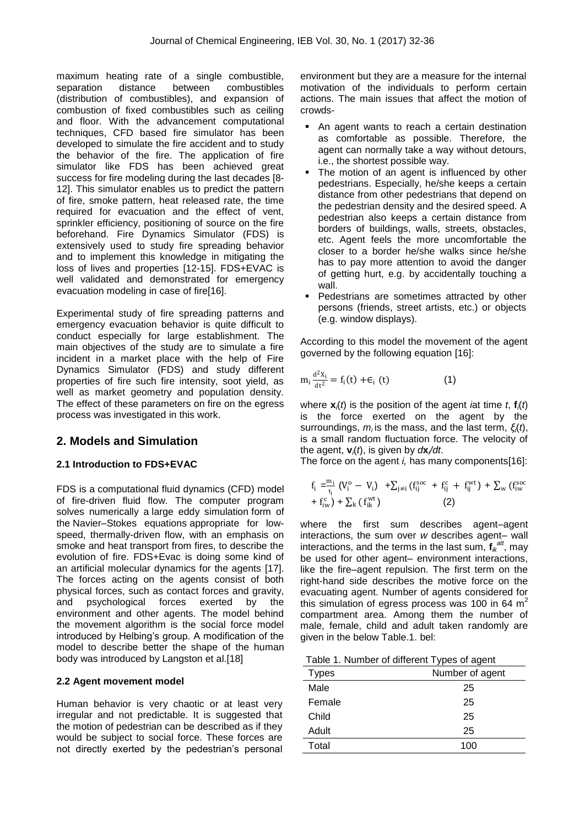maximum heating rate of a single combustible, separation distance between combustibles (distribution of combustibles), and expansion of combustion of fixed combustibles such as ceiling and floor. With the advancement computational techniques, CFD based fire simulator has been developed to simulate the fire accident and to study the behavior of the fire. The application of fire simulator like FDS has been achieved great success for fire modeling during the last decades [8- 12]. This simulator enables us to predict the pattern of fire, smoke pattern, heat released rate, the time required for evacuation and the effect of vent, sprinkler efficiency, positioning of source on the fire beforehand. Fire Dynamics Simulator (FDS) is extensively used to study fire spreading behavior and to implement this knowledge in mitigating the loss of lives and properties [12-15]. FDS+EVAC is well validated and demonstrated for emergency evacuation modeling in case of fire[16].

Experimental study of fire spreading patterns and emergency evacuation behavior is quite difficult to conduct especially for large establishment. The main objectives of the study are to simulate a fire incident in a market place with the help of Fire Dynamics Simulator (FDS) and study different properties of fire such fire intensity, soot yield, as well as market geometry and population density. The effect of these parameters on fire on the egress process was investigated in this work.

# **2. Models and Simulation**

### **2.1 Introduction to FDS+EVAC**

FDS is a [computational fluid dynamics](https://en.wikipedia.org/wiki/Computational_fluid_dynamics) (CFD) model of fire-driven fluid flow. The computer program solves numerically a [large eddy simulation](https://en.wikipedia.org/wiki/Large_eddy_simulation) form of the [Navier–Stokes equations](https://en.wikipedia.org/wiki/Navier%E2%80%93Stokes_equations) appropriate for lowspeed, thermally-driven flow, with an emphasis on smoke and heat transport from fires, to describe the evolution of fire. FDS+Evac is doing some kind of an artificial molecular dynamics for the agents [17]. The forces acting on the agents consist of both physical forces, such as contact forces and gravity, and psychological forces exerted by the environment and other agents. The model behind the movement algorithm is the social force model introduced by Helbing's group. A modification of the model to describe better the shape of the human body was introduced by Langston et al.[18]

#### **2.2 Agent movement model**

Human behavior is very chaotic or at least very irregular and not predictable. It is suggested that the motion of pedestrian can be described as if they would be subject to social force. These forces are not directly exerted by the pedestrian's personal environment but they are a measure for the internal motivation of the individuals to perform certain actions. The main issues that affect the motion of crowds-

- An agent wants to reach a certain destination as comfortable as possible. Therefore, the agent can normally take a way without detours, i.e., the shortest possible way.
- The motion of an agent is influenced by other pedestrians. Especially, he/she keeps a certain distance from other pedestrians that depend on the pedestrian density and the desired speed. A pedestrian also keeps a certain distance from borders of buildings, walls, streets, obstacles, etc. Agent feels the more uncomfortable the closer to a border he/she walks since he/she has to pay more attention to avoid the danger of getting hurt, e.g. by accidentally touching a wall.
- Pedestrians are sometimes attracted by other persons (friends, street artists, etc.) or objects (e.g. window displays).

According to this model the movement of the agent governed by the following equation [16]:

$$
m_i \frac{d^2 X_i}{dt^2} = f_i(t) + \epsilon_i(t)
$$
 (1)

where  $\mathbf{x}$ *(t)* is the position of the agent *i*at time *t*,  $\mathbf{f}$ *(t)* is the force exerted on the agent by the surroundings, *mi* is the mass, and the last term, *ξi*(*t*), is a small random fluctuation force. The velocity of the agent, **v***i*(*t*), is given by *d***x***<sup>i</sup> /dt*.

The force on the agent *i,* has many components[16]:

$$
\begin{aligned} \mathbf{f}_\mathrm{i} = &\frac{\mathbf{m}_\mathrm{i}}{\mathbf{r}_\mathrm{i}} \left( \mathbf{V}_\mathrm{i}^\mathrm{o} - \mathbf{V}_\mathrm{i} \right) \ + &\sum_{\mathrm{j} \neq \mathrm{i}} \left( \mathbf{f}_{\mathrm{ij}}^\mathrm{soc} \ + \mathbf{f}_{\mathrm{ij}}^\mathrm{c} + \mathbf{f}_{\mathrm{ij}}^\mathrm{wt} \right) \ + \sum_{\mathrm{w}} \left( \mathbf{f}_{\mathrm{i} \mathrm{w}}^\mathrm{soc} \right. \\ &+ \mathbf{f}_{\mathrm{i} \mathrm{w}}^\mathrm{c} \right) + \sum_{\mathrm{k}} \left( \mathbf{f}_{\mathrm{i} \mathrm{k}}^\mathrm{wt} \right) \end{aligned}
$$

where the first sum describes agent–agent interactions, the sum over *w* describes agent– wall interactions, and the terms in the last sum,  $f_{ik}^{att}$ , may be used for other agent– environment interactions, like the fire–agent repulsion. The first term on the right-hand side describes the motive force on the evacuating agent. Number of agents considered for this simulation of egress process was 100 in 64  $m<sup>2</sup>$ compartment area. Among them the number of male, female, child and adult taken randomly are given in the below Table.1. bel:

|--|

| <b>Types</b> | Number of agent |  |  |
|--------------|-----------------|--|--|
| Male         | 25              |  |  |
| Female       | 25              |  |  |
| Child        | 25              |  |  |
| Adult        | 25              |  |  |
| Total        | 100             |  |  |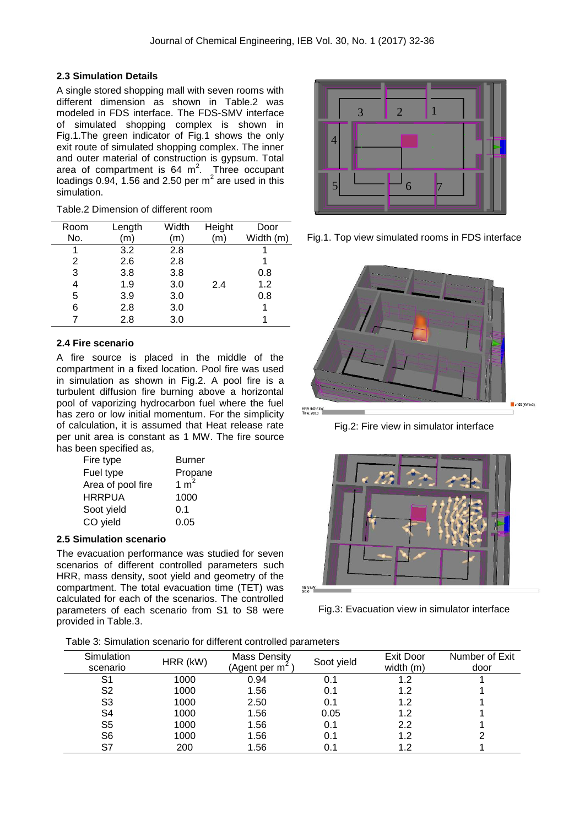### **2.3 Simulation Details**

A single stored shopping mall with seven rooms with different dimension as shown in Table.2 was modeled in FDS interface. The FDS-SMV interface of simulated shopping complex is shown in Fig.1.The green indicator of Fig.1 shows the only exit route of simulated shopping complex. The inner and outer material of construction is gypsum. Total area of compartment is  $64 \text{ m}^2$ . Three occupant loadings 0.94, 1.56 and 2.50 per  $m^2$  are used in this simulation.

| Room | Length | Width | Height | Door      |
|------|--------|-------|--------|-----------|
| No.  | (m)    | (m)   | (m)    | Width (m) |
|      | 3.2    | 2.8   |        |           |
| 2    | 2.6    | 2.8   |        |           |
| 3    | 3.8    | 3.8   |        | 0.8       |
|      | 1.9    | 3.0   | 2.4    | 1.2       |
| 5    | 3.9    | 3.0   |        | 0.8       |
| 6    | 2.8    | 3.0   |        |           |
|      | 2.8    | 3.0   |        |           |
|      |        |       |        |           |

Table.2 Dimension of different room

### **2.4 Fire scenario**

A fire source is placed in the middle of the compartment in a fixed location. Pool fire was used in simulation as shown in Fig.2. A pool fire is a turbulent diffusion fire burning above a horizontal pool of vaporizing hydrocarbon fuel where the fuel has zero or low initial momentum. For the simplicity of calculation, it is assumed that Heat release rate per unit area is constant as 1 MW. The fire source has been specified as,

| Fire type         | <b>Burner</b> |
|-------------------|---------------|
| Fuel type         | Propane       |
| Area of pool fire | 1 $m2$        |
| HRRPUA            | 1000          |
| Soot yield        | 0.1           |
| CO yield          | 0.05          |

#### **2.5 Simulation scenario**

The evacuation performance was studied for seven scenarios of different controlled parameters such HRR, mass density, soot yield and geometry of the compartment. The total evacuation time (TET) was calculated for each of the scenarios. The controlled parameters of each scenario from S1 to S8 were provided in Table.3.



Fig.1. Top view simulated rooms in FDS interface



Fig.2: Fire view in simulator interface



Fig.3: Evacuation view in simulator interface

Table 3: Simulation scenario for different controlled parameters

| Simulation<br>scenario | HRR (kW) | Mass Density<br>(Agent per m $<$ | Soot yield | Exit Door<br>width $(m)$ | Number of Exit<br>door |
|------------------------|----------|----------------------------------|------------|--------------------------|------------------------|
| S1                     | 1000     | 0.94                             | 0.1        | 1.2                      |                        |
| S <sub>2</sub>         | 1000     | 1.56                             | 0.1        | 1.2                      |                        |
| S <sub>3</sub>         | 1000     | 2.50                             | 0.1        | 1.2                      |                        |
| S <sub>4</sub>         | 1000     | 1.56                             | 0.05       | 1.2                      |                        |
| S <sub>5</sub>         | 1000     | 1.56                             | 0.1        | 2.2                      |                        |
| S <sub>6</sub>         | 1000     | 1.56                             | 0.1        | 1.2                      |                        |
| S7                     | 200      | 1.56                             | 0.1        | 1.2                      |                        |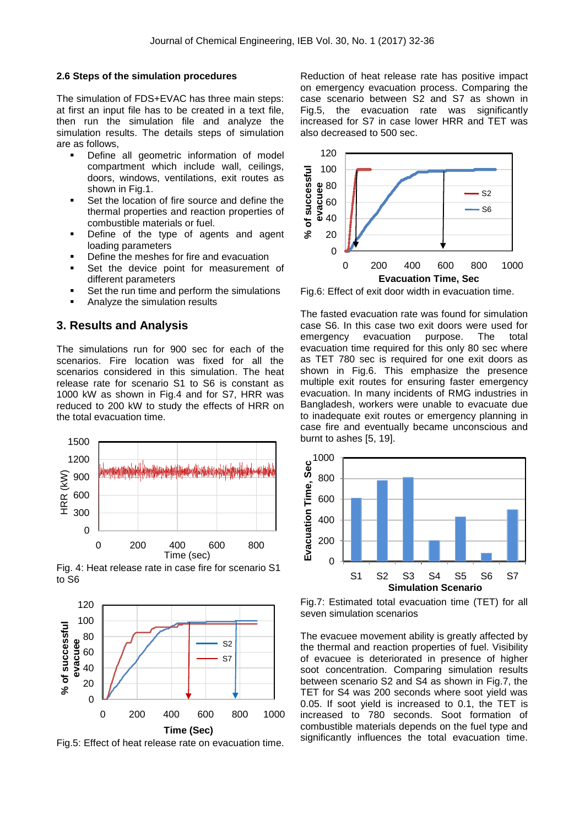#### **2.6 Steps of the simulation procedures**

The simulation of FDS+EVAC has three main steps: at first an input file has to be created in a text file, then run the simulation file and analyze the simulation results. The details steps of simulation are as follows,

- Define all geometric information of model compartment which include wall, ceilings, doors, windows, ventilations, exit routes as shown in Fig.1.
- Set the location of fire source and define the thermal properties and reaction properties of combustible materials or fuel.
- Define of the type of agents and agent loading parameters
- Define the meshes for fire and evacuation
- **Set the device point for measurement of** different parameters
- Set the run time and perform the simulations
- Analyze the simulation results

#### **3. Results and Analysis**

The simulations run for 900 sec for each of the scenarios. Fire location was fixed for all the scenarios considered in this simulation. The heat release rate for scenario S1 to S6 is constant as 1000 kW as shown in Fig.4 and for S7, HRR was reduced to 200 kW to study the effects of HRR on the total evacuation time.



Fig. 4: Heat release rate in case fire for scenario S1 to S6



Fig.5: Effect of heat release rate on evacuation time.

Reduction of heat release rate has positive impact on emergency evacuation process. Comparing the case scenario between S2 and S7 as shown in Fig.5, the evacuation rate was significantly increased for S7 in case lower HRR and TET was also decreased to 500 sec.



Fig.6: Effect of exit door width in evacuation time.

The fasted evacuation rate was found for simulation case S6. In this case two exit doors were used for emergency evacuation purpose. The total evacuation time required for this only 80 sec where as TET 780 sec is required for one exit doors as shown in Fig.6. This emphasize the presence multiple exit routes for ensuring faster emergency evacuation. In many incidents of RMG industries in Bangladesh, workers were unable to evacuate due to inadequate exit routes or emergency planning in case fire and eventually became unconscious and burnt to ashes [5, 19].



Fig.7: Estimated total evacuation time (TET) for all seven simulation scenarios

The evacuee movement ability is greatly affected by the thermal and reaction properties of fuel. Visibility of evacuee is deteriorated in presence of higher soot concentration. Comparing simulation results between scenario S2 and S4 as shown in Fig.7, the TET for S4 was 200 seconds where soot yield was 0.05. If soot yield is increased to 0.1, the TET is increased to 780 seconds. Soot formation of combustible materials depends on the fuel type and significantly influences the total evacuation time.